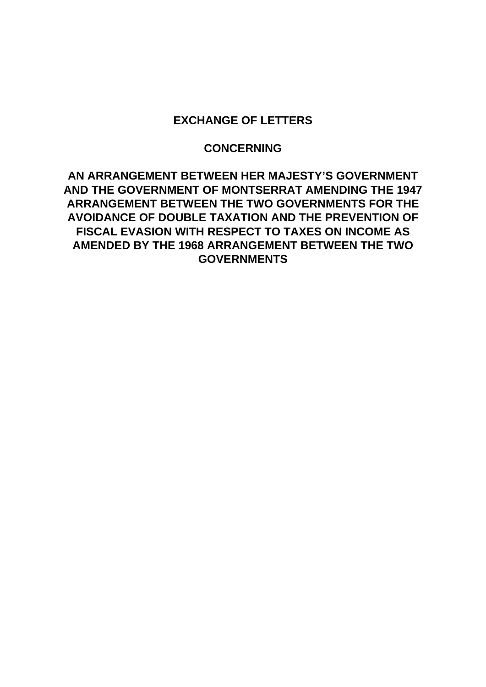## **EXCHANGE OF LETTERS**

## **CONCERNING**

**AN ARRANGEMENT BETWEEN HER MAJESTY'S GOVERNMENT AND THE GOVERNMENT OF MONTSERRAT AMENDING THE 1947 ARRANGEMENT BETWEEN THE TWO GOVERNMENTS FOR THE AVOIDANCE OF DOUBLE TAXATION AND THE PREVENTION OF FISCAL EVASION WITH RESPECT TO TAXES ON INCOME AS AMENDED BY THE 1968 ARRANGEMENT BETWEEN THE TWO GOVERNMENTS**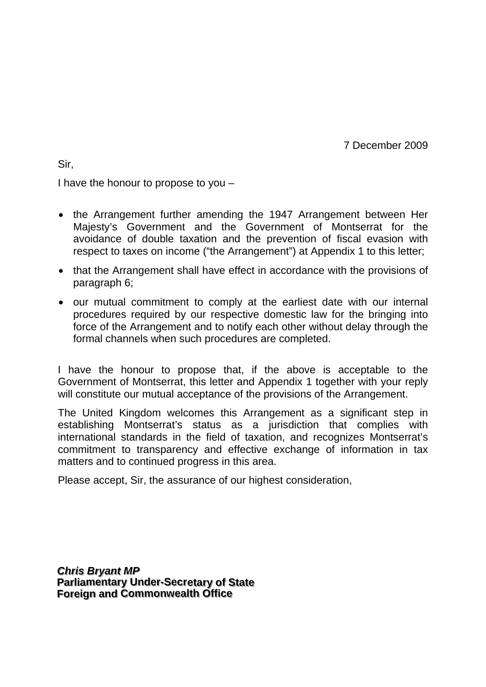7 December 2009

Sir,

I have the honour to propose to you –

- the Arrangement further amending the 1947 Arrangement between Her Majesty's Government and the Government of Montserrat for the avoidance of double taxation and the prevention of fiscal evasion with respect to taxes on income ("the Arrangement") at Appendix 1 to this letter;
- that the Arrangement shall have effect in accordance with the provisions of paragraph 6;
- our mutual commitment to comply at the earliest date with our internal procedures required by our respective domestic law for the bringing into force of the Arrangement and to notify each other without delay through the formal channels when such procedures are completed.

I have the honour to propose that, if the above is acceptable to the Government of Montserrat, this letter and Appendix 1 together with your reply will constitute our mutual acceptance of the provisions of the Arrangement.

The United Kingdom welcomes this Arrangement as a significant step in establishing Montserrat's status as a jurisdiction that complies with international standards in the field of taxation, and recognizes Montserrat's commitment to transparency and effective exchange of information in tax matters and to continued progress in this area.

Please accept, Sir, the assurance of our highest consideration,

*Chris Bryant MP* **Parliamentary Under-Secretary of State Foreign and Commonwealth Office**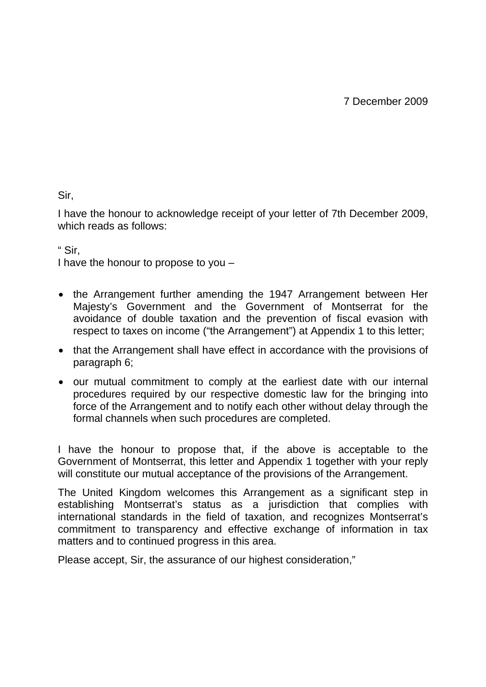Sir,

I have the honour to acknowledge receipt of your letter of 7th December 2009, which reads as follows:

" Sir,

I have the honour to propose to you –

- the Arrangement further amending the 1947 Arrangement between Her Majesty's Government and the Government of Montserrat for the avoidance of double taxation and the prevention of fiscal evasion with respect to taxes on income ("the Arrangement") at Appendix 1 to this letter;
- that the Arrangement shall have effect in accordance with the provisions of paragraph 6;
- our mutual commitment to comply at the earliest date with our internal procedures required by our respective domestic law for the bringing into force of the Arrangement and to notify each other without delay through the formal channels when such procedures are completed.

I have the honour to propose that, if the above is acceptable to the Government of Montserrat, this letter and Appendix 1 together with your reply will constitute our mutual acceptance of the provisions of the Arrangement.

The United Kingdom welcomes this Arrangement as a significant step in establishing Montserrat's status as a jurisdiction that complies with international standards in the field of taxation, and recognizes Montserrat's commitment to transparency and effective exchange of information in tax matters and to continued progress in this area.

Please accept, Sir, the assurance of our highest consideration,"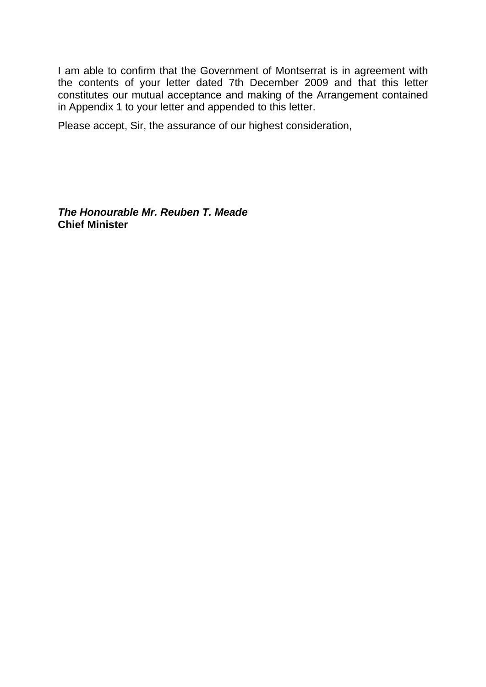I am able to confirm that the Government of Montserrat is in agreement with the contents of your letter dated 7th December 2009 and that this letter constitutes our mutual acceptance and making of the Arrangement contained in Appendix 1 to your letter and appended to this letter.

Please accept, Sir, the assurance of our highest consideration,

*The Honourable Mr. Reuben T. Meade*  **Chief Minister**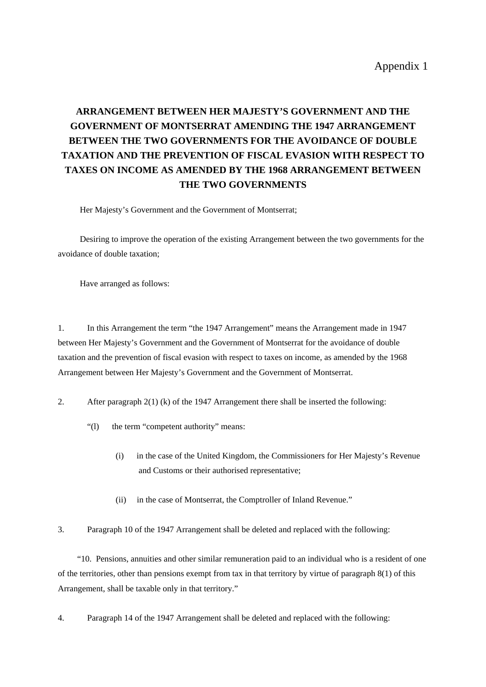## **ARRANGEMENT BETWEEN HER MAJESTY'S GOVERNMENT AND THE GOVERNMENT OF MONTSERRAT AMENDING THE 1947 ARRANGEMENT BETWEEN THE TWO GOVERNMENTS FOR THE AVOIDANCE OF DOUBLE TAXATION AND THE PREVENTION OF FISCAL EVASION WITH RESPECT TO TAXES ON INCOME AS AMENDED BY THE 1968 ARRANGEMENT BETWEEN THE TWO GOVERNMENTS**

Her Majesty's Government and the Government of Montserrat;

 Desiring to improve the operation of the existing Arrangement between the two governments for the avoidance of double taxation;

Have arranged as follows:

1. In this Arrangement the term "the 1947 Arrangement" means the Arrangement made in 1947 between Her Majesty's Government and the Government of Montserrat for the avoidance of double taxation and the prevention of fiscal evasion with respect to taxes on income, as amended by the 1968 Arrangement between Her Majesty's Government and the Government of Montserrat.

- 2. After paragraph 2(1) (k) of the 1947 Arrangement there shall be inserted the following:
	- "(1) the term "competent authority" means:
		- (i) in the case of the United Kingdom, the Commissioners for Her Majesty's Revenue and Customs or their authorised representative;
		- (ii) in the case of Montserrat, the Comptroller of Inland Revenue."
- 3. Paragraph 10 of the 1947 Arrangement shall be deleted and replaced with the following:

 "10. Pensions, annuities and other similar remuneration paid to an individual who is a resident of one of the territories, other than pensions exempt from tax in that territory by virtue of paragraph 8(1) of this Arrangement, shall be taxable only in that territory."

4. Paragraph 14 of the 1947 Arrangement shall be deleted and replaced with the following: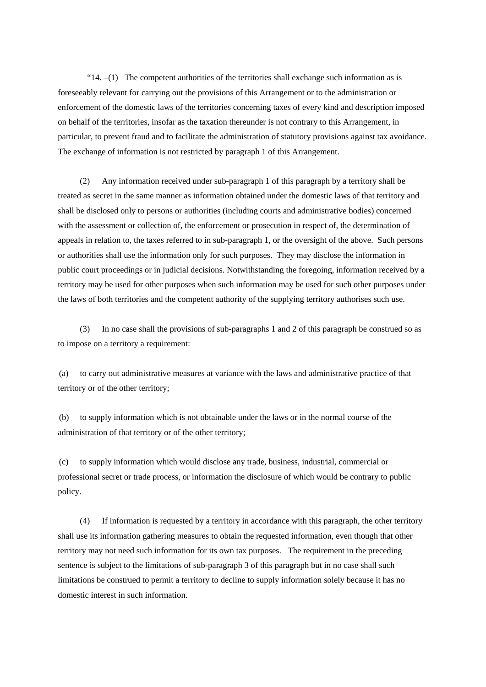"14.  $-(1)$  The competent authorities of the territories shall exchange such information as is foreseeably relevant for carrying out the provisions of this Arrangement or to the administration or enforcement of the domestic laws of the territories concerning taxes of every kind and description imposed on behalf of the territories, insofar as the taxation thereunder is not contrary to this Arrangement, in particular, to prevent fraud and to facilitate the administration of statutory provisions against tax avoidance. The exchange of information is not restricted by paragraph 1 of this Arrangement.

 (2) Any information received under sub-paragraph 1 of this paragraph by a territory shall be treated as secret in the same manner as information obtained under the domestic laws of that territory and shall be disclosed only to persons or authorities (including courts and administrative bodies) concerned with the assessment or collection of, the enforcement or prosecution in respect of, the determination of appeals in relation to, the taxes referred to in sub-paragraph 1, or the oversight of the above. Such persons or authorities shall use the information only for such purposes. They may disclose the information in public court proceedings or in judicial decisions. Notwithstanding the foregoing, information received by a territory may be used for other purposes when such information may be used for such other purposes under the laws of both territories and the competent authority of the supplying territory authorises such use.

 (3) In no case shall the provisions of sub-paragraphs 1 and 2 of this paragraph be construed so as to impose on a territory a requirement:

(a) to carry out administrative measures at variance with the laws and administrative practice of that territory or of the other territory;

(b) to supply information which is not obtainable under the laws or in the normal course of the administration of that territory or of the other territory;

(c) to supply information which would disclose any trade, business, industrial, commercial or professional secret or trade process, or information the disclosure of which would be contrary to public policy.

 (4) If information is requested by a territory in accordance with this paragraph, the other territory shall use its information gathering measures to obtain the requested information, even though that other territory may not need such information for its own tax purposes. The requirement in the preceding sentence is subject to the limitations of sub-paragraph 3 of this paragraph but in no case shall such limitations be construed to permit a territory to decline to supply information solely because it has no domestic interest in such information.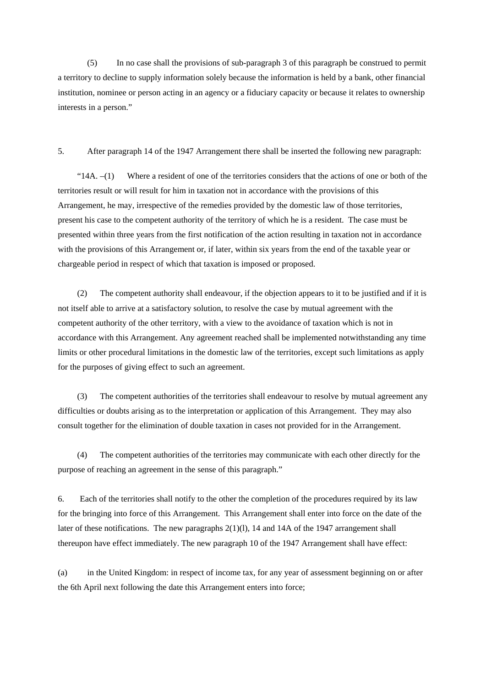(5) In no case shall the provisions of sub-paragraph 3 of this paragraph be construed to permit a territory to decline to supply information solely because the information is held by a bank, other financial institution, nominee or person acting in an agency or a fiduciary capacity or because it relates to ownership interests in a person."

5. After paragraph 14 of the 1947 Arrangement there shall be inserted the following new paragraph:

" $14A$ .  $-(1)$  Where a resident of one of the territories considers that the actions of one or both of the territories result or will result for him in taxation not in accordance with the provisions of this Arrangement, he may, irrespective of the remedies provided by the domestic law of those territories, present his case to the competent authority of the territory of which he is a resident. The case must be presented within three years from the first notification of the action resulting in taxation not in accordance with the provisions of this Arrangement or, if later, within six years from the end of the taxable year or chargeable period in respect of which that taxation is imposed or proposed.

 (2) The competent authority shall endeavour, if the objection appears to it to be justified and if it is not itself able to arrive at a satisfactory solution, to resolve the case by mutual agreement with the competent authority of the other territory, with a view to the avoidance of taxation which is not in accordance with this Arrangement. Any agreement reached shall be implemented notwithstanding any time limits or other procedural limitations in the domestic law of the territories, except such limitations as apply for the purposes of giving effect to such an agreement.

 (3) The competent authorities of the territories shall endeavour to resolve by mutual agreement any difficulties or doubts arising as to the interpretation or application of this Arrangement. They may also consult together for the elimination of double taxation in cases not provided for in the Arrangement.

 (4) The competent authorities of the territories may communicate with each other directly for the purpose of reaching an agreement in the sense of this paragraph."

6. Each of the territories shall notify to the other the completion of the procedures required by its law for the bringing into force of this Arrangement. This Arrangement shall enter into force on the date of the later of these notifications. The new paragraphs  $2(1)(1)$ , 14 and 14A of the 1947 arrangement shall thereupon have effect immediately. The new paragraph 10 of the 1947 Arrangement shall have effect:

(a) in the United Kingdom: in respect of income tax, for any year of assessment beginning on or after the 6th April next following the date this Arrangement enters into force;